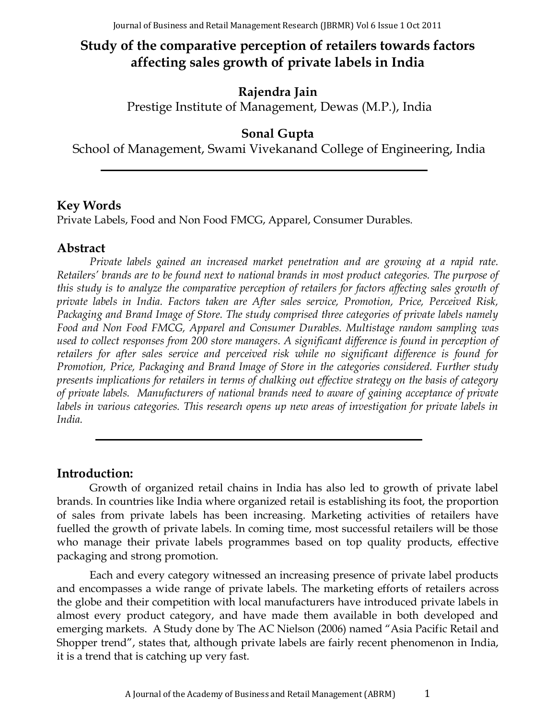# **Study of the comparative perception of retailers towards factors affecting sales growth of private labels in India**

## **Rajendra Jain**

Prestige Institute of Management, Dewas (M.P.), India

## **Sonal Gupta**

School of Management, Swami Vivekanand College of Engineering, India

## **Key Words**

Private Labels, Food and Non Food FMCG, Apparel, Consumer Durables.

## **Abstract**

*Private labels gained an increased market penetration and are growing at a rapid rate. Retailers' brands are to be found next to national brands in most product categories. The purpose of this study is to analyze the comparative perception of retailers for factors affecting sales growth of private labels in India. Factors taken are After sales service, Promotion, Price, Perceived Risk, Packaging and Brand Image of Store. The study comprised three categories of private labels namely Food and Non Food FMCG, Apparel and Consumer Durables. Multistage random sampling was used to collect responses from 200 store managers. A significant difference is found in perception of retailers for after sales service and perceived risk while no significant difference is found for Promotion, Price, Packaging and Brand Image of Store in the categories considered. Further study presents implications for retailers in terms of chalking out effective strategy on the basis of category of private labels. Manufacturers of national brands need to aware of gaining acceptance of private labels in various categories. This research opens up new areas of investigation for private labels in India.* 

## **Introduction:**

Growth of organized retail chains in India has also led to growth of private label brands. In countries like India where organized retail is establishing its foot, the proportion of sales from private labels has been increasing. Marketing activities of retailers have fuelled the growth of private labels. In coming time, most successful retailers will be those who manage their private labels programmes based on top quality products, effective packaging and strong promotion.

Each and every category witnessed an increasing presence of private label products and encompasses a wide range of private labels. The marketing efforts of retailers across the globe and their competition with local manufacturers have introduced private labels in almost every product category, and have made them available in both developed and emerging markets. A Study done by The AC Nielson (2006) named "Asia Pacific Retail and Shopper trend", states that, although private labels are fairly recent phenomenon in India, it is a trend that is catching up very fast.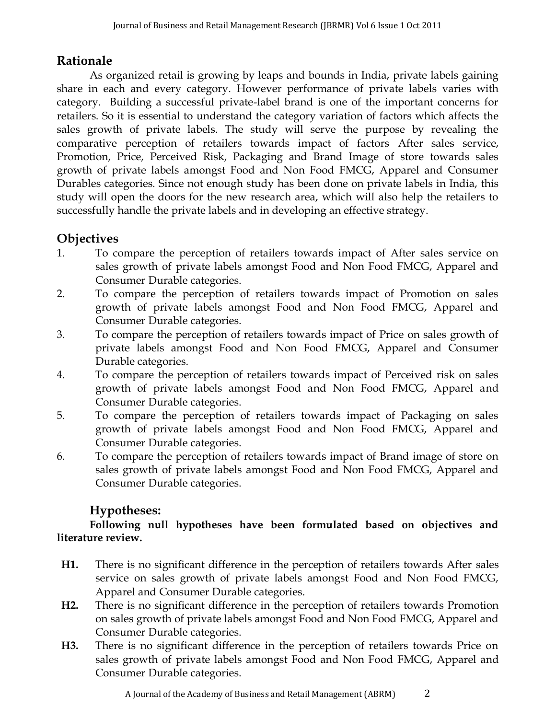## **Rationale**

As organized retail is growing by leaps and bounds in India, private labels gaining share in each and every category. However performance of private labels varies with category. Building a successful private-label brand is one of the important concerns for retailers. So it is essential to understand the category variation of factors which affects the sales growth of private labels. The study will serve the purpose by revealing the comparative perception of retailers towards impact of factors After sales service, Promotion, Price, Perceived Risk, Packaging and Brand Image of store towards sales growth of private labels amongst Food and Non Food FMCG, Apparel and Consumer Durables categories. Since not enough study has been done on private labels in India, this study will open the doors for the new research area, which will also help the retailers to successfully handle the private labels and in developing an effective strategy.

## **Objectives**

- 1. To compare the perception of retailers towards impact of After sales service on sales growth of private labels amongst Food and Non Food FMCG, Apparel and Consumer Durable categories.
- 2. To compare the perception of retailers towards impact of Promotion on sales growth of private labels amongst Food and Non Food FMCG, Apparel and Consumer Durable categories.
- 3. To compare the perception of retailers towards impact of Price on sales growth of private labels amongst Food and Non Food FMCG, Apparel and Consumer Durable categories.
- 4. To compare the perception of retailers towards impact of Perceived risk on sales growth of private labels amongst Food and Non Food FMCG, Apparel and Consumer Durable categories.
- 5. To compare the perception of retailers towards impact of Packaging on sales growth of private labels amongst Food and Non Food FMCG, Apparel and Consumer Durable categories.
- 6. To compare the perception of retailers towards impact of Brand image of store on sales growth of private labels amongst Food and Non Food FMCG, Apparel and Consumer Durable categories.

## **Hypotheses:**

**Following null hypotheses have been formulated based on objectives and literature review.**

- **H1.** There is no significant difference in the perception of retailers towards After sales service on sales growth of private labels amongst Food and Non Food FMCG, Apparel and Consumer Durable categories.
- **H2.** There is no significant difference in the perception of retailers towards Promotion on sales growth of private labels amongst Food and Non Food FMCG, Apparel and Consumer Durable categories.
- **H3.** There is no significant difference in the perception of retailers towards Price on sales growth of private labels amongst Food and Non Food FMCG, Apparel and Consumer Durable categories.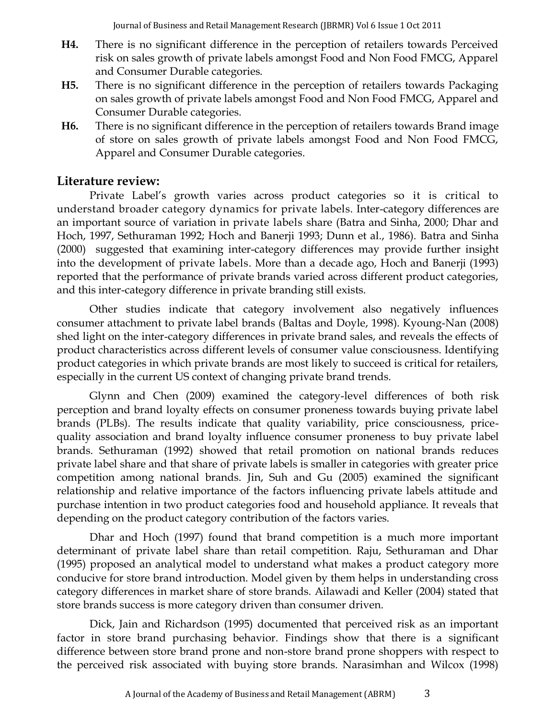- **H4.** There is no significant difference in the perception of retailers towards Perceived risk on sales growth of private labels amongst Food and Non Food FMCG, Apparel and Consumer Durable categories.
- **H5.** There is no significant difference in the perception of retailers towards Packaging on sales growth of private labels amongst Food and Non Food FMCG, Apparel and Consumer Durable categories.
- **H6.** There is no significant difference in the perception of retailers towards Brand image of store on sales growth of private labels amongst Food and Non Food FMCG, Apparel and Consumer Durable categories.

### **Literature review:**

Private Label's growth varies across product categories so it is critical to understand broader category dynamics for private labels. Inter-category differences are an important source of variation in private labels share [\(Batra and Sinha, 2000;](http://www.emeraldinsight.com/Insight/ViewContentServlet?contentType=Article&Filename=Published/EmeraldFullTextArticle/Articles/0890371101.html#b6) [Dhar and](http://www.emeraldinsight.com/Insight/ViewContentServlet?contentType=Article&Filename=Published/EmeraldFullTextArticle/Articles/0890371101.html#b18)  [Hoch, 1997,](http://www.emeraldinsight.com/Insight/ViewContentServlet?contentType=Article&Filename=Published/EmeraldFullTextArticle/Articles/0890371101.html#b18) Sethuraman 1992; Hoch and Banerji 1993; Dunn et al., 1986). [Batra and Sinha](http://www.emeraldinsight.com/Insight/ViewContentServlet?contentType=Article&Filename=Published/EmeraldFullTextArticle/Articles/0890371101.html#b6)  [\(2000\)](http://www.emeraldinsight.com/Insight/ViewContentServlet?contentType=Article&Filename=Published/EmeraldFullTextArticle/Articles/0890371101.html#b6) suggested that examining inter-category differences may provide further insight into the development of private labels. More than a decade ago, [Hoch and Banerji \(1993\)](http://www.emeraldinsight.com/Insight/ViewContentServlet?contentType=Article&Filename=Published/EmeraldFullTextArticle/Articles/0770250205.html#idb30) reported that the performance of private brands varied across different product categories, and this inter-category difference in private branding still exists.

Other studies indicate that category involvement also negatively influences consumer attachment to private label brands [\(Baltas and Doyle, 1998\)](http://www.emeraldinsight.com/Insight/ViewContentServlet?contentType=Article&Filename=Published/EmeraldFullTextArticle/Articles/0890371101.html#b5). Kyoung-Nan (2008) shed light on the inter-category differences in private brand sales, and reveals the effects of product characteristics across different levels of consumer value consciousness. Identifying product categories in which private brands are most likely to succeed is critical for retailers, especially in the current US context of changing private brand trends.

Glynn and Chen (2009) examined the category-level differences of both risk perception and brand loyalty effects on consumer proneness towards buying private label brands (PLBs). The results indicate that quality variability, price consciousness, pricequality association and brand loyalty influence consumer proneness to buy private label brands. Sethuraman (1992) showed that retail promotion on national brands reduces private label share and that share of private labels is smaller in categories with greater price competition among national brands. Jin, Suh and Gu (2005) examined the significant relationship and relative importance of the factors influencing private labels attitude and purchase intention in two product categories food and household appliance. It reveals that depending on the product category contribution of the factors varies.

Dhar and Hoch (1997) found that brand competition is a much more important determinant of private label share than retail competition. Raju, Sethuraman and Dhar (1995) proposed an analytical model to understand what makes a product category more conducive for store brand introduction. Model given by them helps in understanding cross category differences in market share of store brands. Ailawadi and Keller (2004) stated that store brands success is more category driven than consumer driven.

Dick, Jain and Richardson (1995) documented that perceived risk as an important factor in store brand purchasing behavior. Findings show that there is a significant difference between store brand prone and non-store brand prone shoppers with respect to the perceived risk associated with buying store brands. Narasimhan and Wilcox (1998)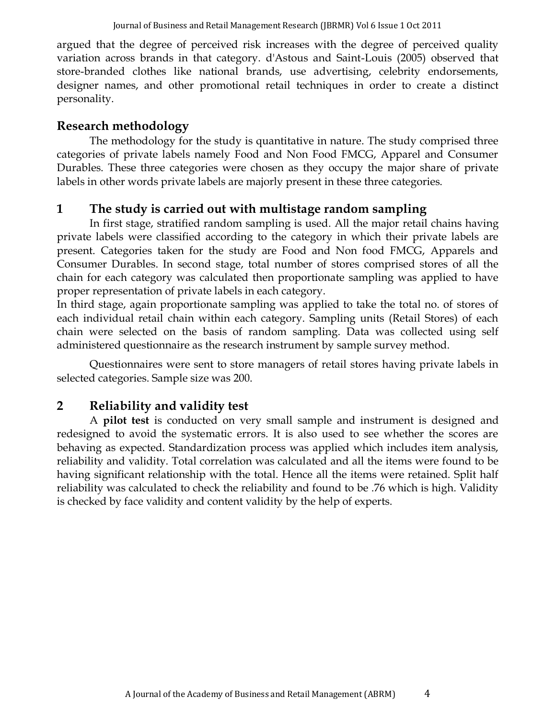argued that the degree of perceived risk increases with the degree of perceived quality variation across brands in that category. d'Astous and Saint-Louis (2005) observed that store-branded clothes like national brands, use advertising, celebrity endorsements, designer names, and other promotional retail techniques in order to create a distinct personality.

## **Research methodology**

The methodology for the study is quantitative in nature. The study comprised three categories of private labels namely Food and Non Food FMCG, Apparel and Consumer Durables. These three categories were chosen as they occupy the major share of private labels in other words private labels are majorly present in these three categories.

## **1 The study is carried out with multistage random sampling**

In first stage, stratified random sampling is used. All the major retail chains having private labels were classified according to the category in which their private labels are present. Categories taken for the study are Food and Non food FMCG, Apparels and Consumer Durables. In second stage, total number of stores comprised stores of all the chain for each category was calculated then proportionate sampling was applied to have proper representation of private labels in each category.

In third stage, again proportionate sampling was applied to take the total no. of stores of each individual retail chain within each category. Sampling units (Retail Stores) of each chain were selected on the basis of random sampling. Data was collected using self administered questionnaire as the research instrument by sample survey method.

Questionnaires were sent to store managers of retail stores having private labels in selected categories. Sample size was 200.

## **2 Reliability and validity test**

A **pilot test** is conducted on very small sample and instrument is designed and redesigned to avoid the systematic errors. It is also used to see whether the scores are behaving as expected. Standardization process was applied which includes item analysis, reliability and validity. Total correlation was calculated and all the items were found to be having significant relationship with the total. Hence all the items were retained. Split half reliability was calculated to check the reliability and found to be .76 which is high. Validity is checked by face validity and content validity by the help of experts.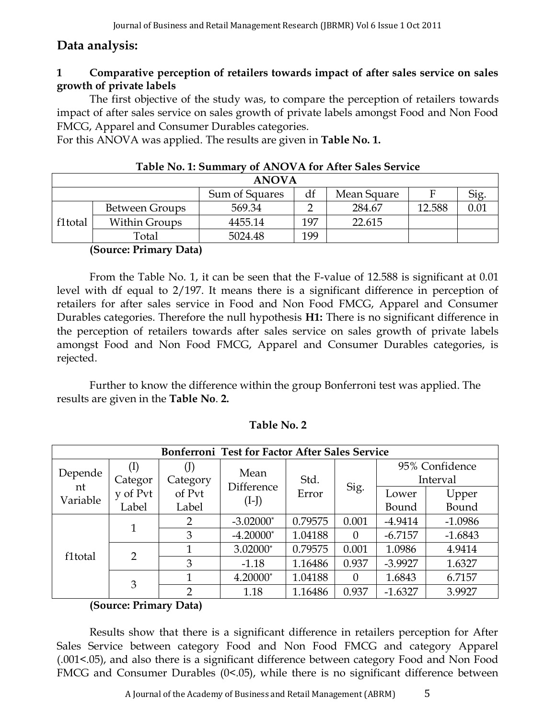## **Data analysis:**

### **1 Comparative perception of retailers towards impact of after sales service on sales growth of private labels**

The first objective of the study was, to compare the perception of retailers towards impact of after sales service on sales growth of private labels amongst Food and Non Food FMCG, Apparel and Consumer Durables categories.

For this ANOVA was applied. The results are given in **Table No. 1.**

|         | 1921 - 1931 - 1941 - 1941 - 1942 - 1944 - 1944 - 1944 - 1944 - 1944 - 1944 - 1944 - 1944 - 1944 - 1944 - 1944<br><u>VI ILITO TILIDI ILITO DULO DU TITU</u> |         |     |        |        |  |  |  |
|---------|------------------------------------------------------------------------------------------------------------------------------------------------------------|---------|-----|--------|--------|--|--|--|
|         | <b>ANOVA</b>                                                                                                                                               |         |     |        |        |  |  |  |
|         | Sum of Squares<br>df<br>Mean Square<br>F                                                                                                                   |         |     |        |        |  |  |  |
|         | <b>Between Groups</b>                                                                                                                                      | 569.34  |     | 284.67 | 12.588 |  |  |  |
| f1total | <b>Within Groups</b>                                                                                                                                       | 4455.14 | 197 | 22.615 |        |  |  |  |
|         | Total                                                                                                                                                      | 5024.48 | 199 |        |        |  |  |  |

#### **Table No. 1: Summary of ANOVA for After Sales Service**

#### **(Source: Primary Data)**

From the Table No. 1, it can be seen that the F-value of 12.588 is significant at 0.01 level with df equal to 2/197. It means there is a significant difference in perception of retailers for after sales service in Food and Non Food FMCG, Apparel and Consumer Durables categories. Therefore the null hypothesis **H1:** There is no significant difference in the perception of retailers towards after sales service on sales growth of private labels amongst Food and Non Food FMCG, Apparel and Consumer Durables categories, is rejected.

Further to know the difference within the group Bonferroni test was applied. The results are given in the **Table No**. **2.**

|                |               |          | Bonferroni Test for Factor After Sales Service |         |          |           |                            |
|----------------|---------------|----------|------------------------------------------------|---------|----------|-----------|----------------------------|
| Depende        | Categor       | Category | Mean                                           | Std.    |          |           | 95% Confidence<br>Interval |
| nt<br>Variable | y of Pvt      | of Pvt   | Difference<br>$(I-J)$                          | Error   | Sig.     | Lower     | Upper                      |
|                | Label         | Label    |                                                |         |          | Bound     | Bound                      |
|                |               | 2        | $-3.02000*$                                    | 0.79575 | 0.001    | $-4.9414$ | $-1.0986$                  |
|                |               | 3        | $-4.20000*$                                    | 1.04188 | $\Omega$ | $-6.7157$ | $-1.6843$                  |
| f1total        | $\mathcal{P}$ |          | 3.02000*                                       | 0.79575 | 0.001    | 1.0986    | 4.9414                     |
|                |               | 3        | $-1.18$                                        | 1.16486 | 0.937    | $-3.9927$ | 1.6327                     |
|                |               |          | 4.20000*                                       | 1.04188 | $\Omega$ | 1.6843    | 6.7157                     |
|                | 3             | റ        | 1.18                                           | 1.16486 | 0.937    | $-1.6327$ | 3.9927                     |

#### **Table No. 2**

#### **(Source: Primary Data)**

Results show that there is a significant difference in retailers perception for After Sales Service between category Food and Non Food FMCG and category Apparel (.001<.05), and also there is a significant difference between category Food and Non Food FMCG and Consumer Durables (0<.05), while there is no significant difference between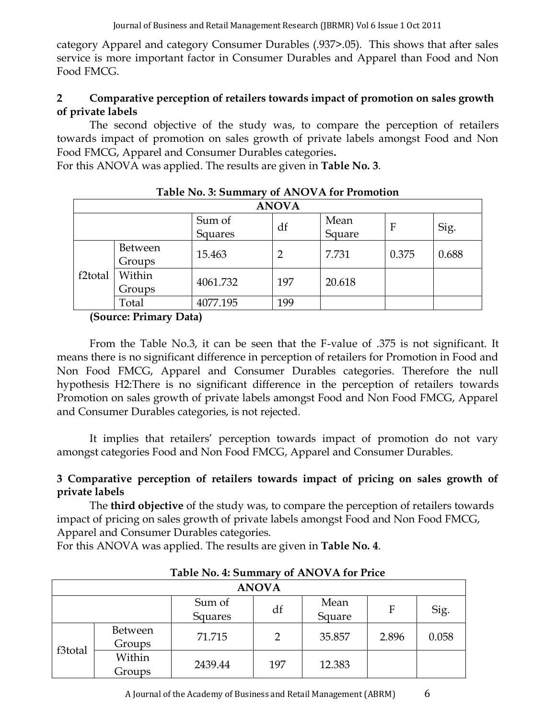category Apparel and category Consumer Durables (.937>.05). This shows that after sales service is more important factor in Consumer Durables and Apparel than Food and Non Food FMCG.

### **2 Comparative perception of retailers towards impact of promotion on sales growth of private labels**

The second objective of the study was, to compare the perception of retailers towards impact of promotion on sales growth of private labels amongst Food and Non Food FMCG, Apparel and Consumer Durables categories**.** 

For this ANOVA was applied. The results are given in **Table No. 3**.

|                      |                   |                   | <b>ANOVA</b> |                |       |       |
|----------------------|-------------------|-------------------|--------------|----------------|-------|-------|
|                      |                   | Sum of<br>Squares | df           | Mean<br>Square | F     | Sig.  |
|                      | Between<br>Groups | 15.463            | 2            | 7.731          | 0.375 | 0.688 |
| f <sub>2</sub> total | Within<br>Groups  | 4061.732          | 197          | 20.618         |       |       |
|                      | Total             | 4077.195          | 199          |                |       |       |

### **Table No. 3: Summary of ANOVA for Promotion**

### **(Source: Primary Data)**

From the Table No.3, it can be seen that the F-value of .375 is not significant. It means there is no significant difference in perception of retailers for Promotion in Food and Non Food FMCG, Apparel and Consumer Durables categories. Therefore the null hypothesis H2:There is no significant difference in the perception of retailers towards Promotion on sales growth of private labels amongst Food and Non Food FMCG, Apparel and Consumer Durables categories, is not rejected.

It implies that retailers' perception towards impact of promotion do not vary amongst categories Food and Non Food FMCG, Apparel and Consumer Durables.

### **3 Comparative perception of retailers towards impact of pricing on sales growth of private labels**

The **third objective** of the study was, to compare the perception of retailers towards impact of pricing on sales growth of private labels amongst Food and Non Food FMCG, Apparel and Consumer Durables categories.

For this ANOVA was applied. The results are given in **Table No. 4**.

|                                                |                          |         | <b>ANOVA</b>  |        |       |       |
|------------------------------------------------|--------------------------|---------|---------------|--------|-------|-------|
| Sum of<br>Mean<br>df<br>F<br>Square<br>Squares |                          |         |               | Sig.   |       |       |
|                                                | <b>Between</b><br>Groups | 71.715  | $\mathcal{D}$ | 35.857 | 2.896 | 0.058 |
| f3total                                        | Within<br>Groups         | 2439.44 | 197           | 12.383 |       |       |

**Table No. 4: Summary of ANOVA for Price**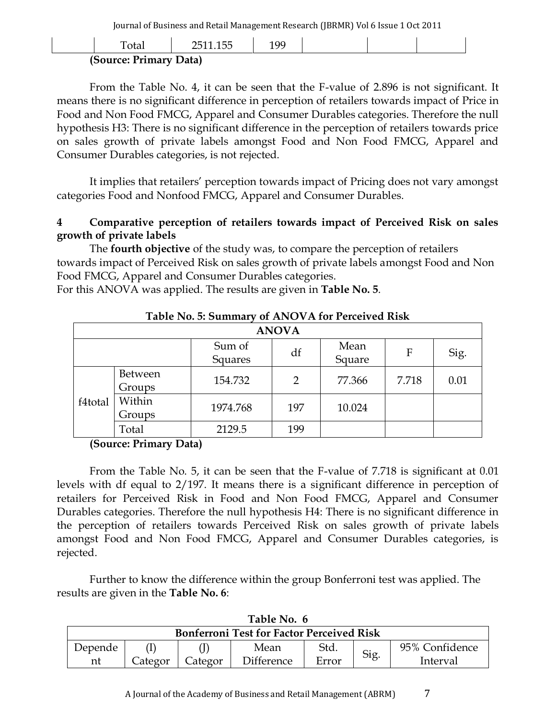| Ē                      | 1 Q Q |  |  |
|------------------------|-------|--|--|
| (Source: Primary Data) |       |  |  |

From the Table No. 4, it can be seen that the F-value of 2.896 is not significant. It means there is no significant difference in perception of retailers towards impact of Price in Food and Non Food FMCG, Apparel and Consumer Durables categories. Therefore the null hypothesis H3: There is no significant difference in the perception of retailers towards price on sales growth of private labels amongst Food and Non Food FMCG, Apparel and Consumer Durables categories, is not rejected.

It implies that retailers' perception towards impact of Pricing does not vary amongst categories Food and Nonfood FMCG, Apparel and Consumer Durables.

#### **4 Comparative perception of retailers towards impact of Perceived Risk on sales growth of private labels**

The **fourth objective** of the study was, to compare the perception of retailers towards impact of Perceived Risk on sales growth of private labels amongst Food and Non Food FMCG, Apparel and Consumer Durables categories.

For this ANOVA was applied. The results are given in **Table No. 5**.

| Table No. 5: Summary of ANOVA for Perceived Risk |                          |                   |              |                |       |      |
|--------------------------------------------------|--------------------------|-------------------|--------------|----------------|-------|------|
|                                                  |                          |                   | <b>ANOVA</b> |                |       |      |
|                                                  |                          | Sum of<br>Squares | df           | Mean<br>Square | F     | Sig. |
|                                                  | <b>Between</b><br>Groups | 154.732           | 2            | 77.366         | 7.718 | 0.01 |
| f4total                                          | Within<br>Groups         | 1974.768          | 197          | 10.024         |       |      |
|                                                  | Total                    | 2129.5            | 199          |                |       |      |

#### **Table No. 5: Summary of ANOVA for Perceived Risk**

#### **(Source: Primary Data)**

From the Table No. 5, it can be seen that the F-value of 7.718 is significant at 0.01 levels with df equal to 2/197. It means there is a significant difference in perception of retailers for Perceived Risk in Food and Non Food FMCG, Apparel and Consumer Durables categories. Therefore the null hypothesis H4: There is no significant difference in the perception of retailers towards Perceived Risk on sales growth of private labels amongst Food and Non Food FMCG, Apparel and Consumer Durables categories, is rejected.

Further to know the difference within the group Bonferroni test was applied. The results are given in the **Table No. 6**:

| Table No. 6                                                                |  |  |      |      |  |                |  |
|----------------------------------------------------------------------------|--|--|------|------|--|----------------|--|
| <b>Bonferroni Test for Factor Perceived Risk</b>                           |  |  |      |      |  |                |  |
| Depende                                                                    |  |  | Mean | Std. |  | 95% Confidence |  |
| Sig.<br>Error<br><b>Difference</b><br>Categor<br>Categor<br>Interval<br>nt |  |  |      |      |  |                |  |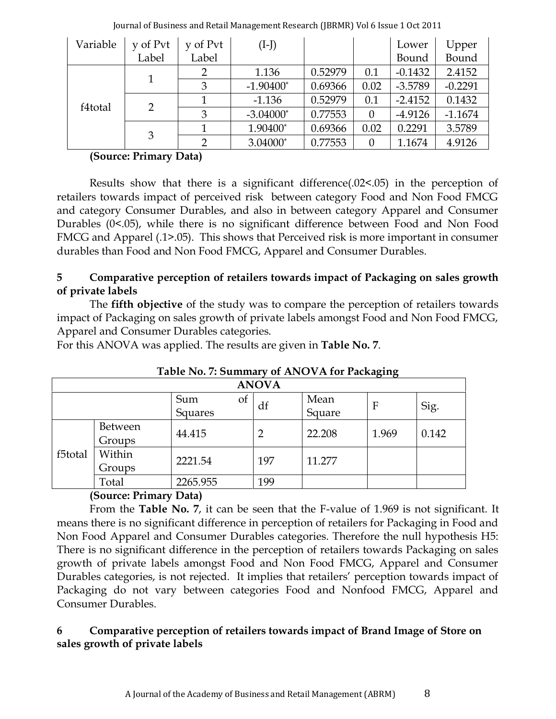| Variable | y of Pvt | y of Pvt | $(I-J)$     |         |          | Lower     | Upper     |
|----------|----------|----------|-------------|---------|----------|-----------|-----------|
|          | Label    | Label    |             |         |          | Bound     | Bound     |
|          |          | 2        | 1.136       | 0.52979 | 0.1      | $-0.1432$ | 2.4152    |
|          |          | 3        | $-1.90400*$ | 0.69366 | 0.02     | $-3.5789$ | $-0.2291$ |
| f4total  |          |          | $-1.136$    | 0.52979 | 0.1      | $-2.4152$ | 0.1432    |
|          | 2        | 3        | $-3.04000*$ | 0.77553 | $\theta$ | $-4.9126$ | $-1.1674$ |
|          | 3        |          | 1.90400*    | 0.69366 | 0.02     | 0.2291    | 3.5789    |
|          |          | າ        | 3.04000*    | 0.77553 | $\theta$ | 1.1674    | 4.9126    |

#### **(Source: Primary Data)**

Results show that there is a significant difference(.02<.05) in the perception of retailers towards impact of perceived risk between category Food and Non Food FMCG and category Consumer Durables, and also in between category Apparel and Consumer Durables (0<.05), while there is no significant difference between Food and Non Food FMCG and Apparel (.1>.05). This shows that Perceived risk is more important in consumer durables than Food and Non Food FMCG, Apparel and Consumer Durables.

### **5 Comparative perception of retailers towards impact of Packaging on sales growth of private labels**

The **fifth objective** of the study was to compare the perception of retailers towards impact of Packaging on sales growth of private labels amongst Food and Non Food FMCG, Apparel and Consumer Durables categories.

For this ANOVA was applied. The results are given in **Table No. 7**.

| ה--ה-   |                   |                                 |                |                |              |       |
|---------|-------------------|---------------------------------|----------------|----------------|--------------|-------|
|         |                   |                                 | <b>ANOVA</b>   |                |              |       |
|         |                   | Sum<br><sub>ot</sub><br>Squares | df             | Mean<br>Square | $\mathbf{F}$ | Sig.  |
|         | Between<br>Groups | 44.415                          | $\overline{2}$ | 22.208         | 1.969        | 0.142 |
| f5total | Within<br>Groups  | 2221.54                         | 197            | 11.277         |              |       |
|         | Total             | 2265.955                        | 199            |                |              |       |

### **Table No. 7: Summary of ANOVA for Packaging**

### **(Source: Primary Data)**

From the **Table No. 7**, it can be seen that the F-value of 1.969 is not significant. It means there is no significant difference in perception of retailers for Packaging in Food and Non Food Apparel and Consumer Durables categories. Therefore the null hypothesis H5: There is no significant difference in the perception of retailers towards Packaging on sales growth of private labels amongst Food and Non Food FMCG, Apparel and Consumer Durables categories, is not rejected. It implies that retailers' perception towards impact of Packaging do not vary between categories Food and Nonfood FMCG, Apparel and Consumer Durables.

### **6 Comparative perception of retailers towards impact of Brand Image of Store on sales growth of private labels**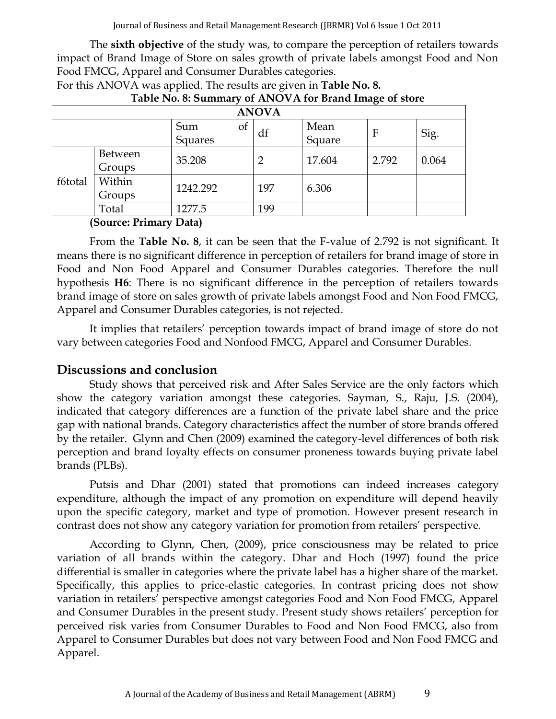The **sixth objective** of the study was, to compare the perception of retailers towards impact of Brand Image of Store on sales growth of private labels amongst Food and Non Food FMCG, Apparel and Consumer Durables categories.

|         |                   |                      | <b>ANOVA</b>   |                |              |       |
|---------|-------------------|----------------------|----------------|----------------|--------------|-------|
|         |                   | Sum<br>Οt<br>Squares | df             | Mean<br>Square | $\mathbf{F}$ | Sig.  |
|         | Between<br>Groups | 35.208               | $\overline{2}$ | 17.604         | 2.792        | 0.064 |
| f6total | Within<br>Groups  | 1242.292             | 197            | 6.306          |              |       |
|         | Total             | 1277.5               | 199            |                |              |       |

| For this ANOVA was applied. The results are given in <b>Table No. 8.</b> |                                                        |
|--------------------------------------------------------------------------|--------------------------------------------------------|
|                                                                          | Table No. 8: Summary of ANOVA for Brand Image of store |

**(Source: Primary Data)**

From the **Table No. 8**, it can be seen that the F-value of 2.792 is not significant. It means there is no significant difference in perception of retailers for brand image of store in Food and Non Food Apparel and Consumer Durables categories. Therefore the null hypothesis **H6**: There is no significant difference in the perception of retailers towards brand image of store on sales growth of private labels amongst Food and Non Food FMCG, Apparel and Consumer Durables categories, is not rejected.

It implies that retailers' perception towards impact of brand image of store do not vary between categories Food and Nonfood FMCG, Apparel and Consumer Durables.

### **Discussions and conclusion**

Study shows that perceived risk and After Sales Service are the only factors which show the category variation amongst these categories. Sayman, S., Raju, J.S. (2004), indicated that category differences are a function of the private label share and the price gap with national brands. Category characteristics affect the number of store brands offered by the retailer. Glynn and Chen (2009) examined the category-level differences of both risk perception and brand loyalty effects on consumer proneness towards buying private label brands (PLBs).

Putsis and Dhar (2001) stated that promotions can indeed increases category expenditure, although the impact of any promotion on expenditure will depend heavily upon the specific category, market and type of promotion. However present research in contrast does not show any category variation for promotion from retailers' perspective.

According to Glynn, Chen, (2009), price consciousness may be related to price variation of all brands within the category. Dhar and Hoch (1997) found the price differential is smaller in categories where the private label has a higher share of the market. Specifically, this applies to price-elastic categories. In contrast pricing does not show variation in retailers' perspective amongst categories Food and Non Food FMCG, Apparel and Consumer Durables in the present study. Present study shows retailers' perception for perceived risk varies from Consumer Durables to Food and Non Food FMCG, also from Apparel to Consumer Durables but does not vary between Food and Non Food FMCG and Apparel.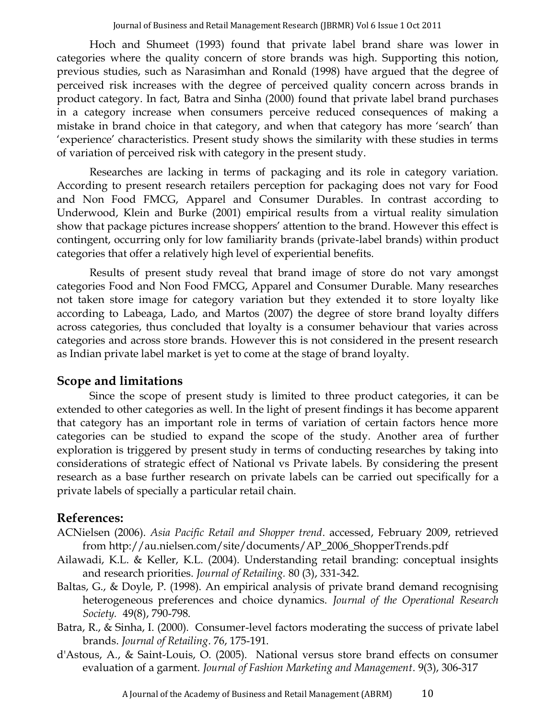[Hoch and Shumeet \(1993\)](http://www.emeraldinsight.com/Insight/ViewContentServlet?contentType=Article&Filename=Published/EmeraldFullTextArticle/Articles/3020020103.html#b23) found that private label brand share was lower in categories where the quality concern of store brands was high. Supporting this notion, previous studies, such as [Narasimhan and Ronald \(1998\)](http://www.emeraldinsight.com/Insight/ViewContentServlet?contentType=Article&Filename=Published/EmeraldFullTextArticle/Articles/3020020103.html#b34) have argued that the degree of perceived risk increases with the degree of perceived quality concern across brands in product category. In fact, [Batra and Sinha \(2000\)](http://www.emeraldinsight.com/Insight/ViewContentServlet?contentType=Article&Filename=Published/EmeraldFullTextArticle/Articles/0890340104.html#idb5) found that private label brand purchases in a category increase when consumers perceive reduced consequences of making a mistake in brand choice in that category, and when that category has more 'search' than 'experience' characteristics. Present study shows the similarity with these studies in terms of variation of perceived risk with category in the present study.

Researches are lacking in terms of packaging and its role in category variation. According to present research retailers perception for packaging does not vary for Food and Non Food FMCG, Apparel and Consumer Durables. In contrast according to Underwood, Klein and Burke (2001) empirical results from a virtual reality simulation show that package pictures increase shoppers' attention to the brand. However this effect is contingent, occurring only for low familiarity brands (private-label brands) within product categories that offer a relatively high level of experiential benefits.

Results of present study reveal that brand image of store do not vary amongst categories Food and Non Food FMCG, Apparel and Consumer Durable. Many researches not taken store image for category variation but they extended it to store loyalty like according to Labeaga, Lado, and Martos (2007) the degree of store brand loyalty differs across categories, thus concluded that loyalty is a consumer behaviour that varies across categories and across store brands. However this is not considered in the present research as Indian private label market is yet to come at the stage of brand loyalty.

## **Scope and limitations**

Since the scope of present study is limited to three product categories, it can be extended to other categories as well. In the light of present findings it has become apparent that category has an important role in terms of variation of certain factors hence more categories can be studied to expand the scope of the study. Another area of further exploration is triggered by present study in terms of conducting researches by taking into considerations of strategic effect of National vs Private labels. By considering the present research as a base further research on private labels can be carried out specifically for a private labels of specially a particular retail chain.

### **References:**

- ACNielsen (2006). *Asia Pacific Retail and Shopper trend*. accessed, February 2009, retrieved from http://au.nielsen.com/site/documents/AP\_2006\_ShopperTrends.pdf
- Ailawadi, K.L. & Keller, K.L. (2004). Understanding retail branding: conceptual insights and research priorities. *Journal of Retailing.* 80 (3), 331-342.
- [Baltas, G., & Doyle, P. \(1998\). An empirical analysis of private brand demand recognising](http://dx.doi.org/10.1038/sj.jors.2600591)  [heterogeneous preferences and choice dynamics.](http://dx.doi.org/10.1038/sj.jors.2600591) *Journal of the Operational Research Society.* [49\(8\), 790-798.](http://dx.doi.org/10.1038/sj.jors.2600591)
- Batra, R., & Sinha, I. (2000). Consumer-level factors moderating the success of private label brands. *Journal of Retailing*. 76, 175-191.
- d'Astous, A., & Saint-Louis, O. (2005). National versus store brand effects on consumer evaluation of a garment. *Journal of Fashion Marketing and Management*. 9(3), 306-317